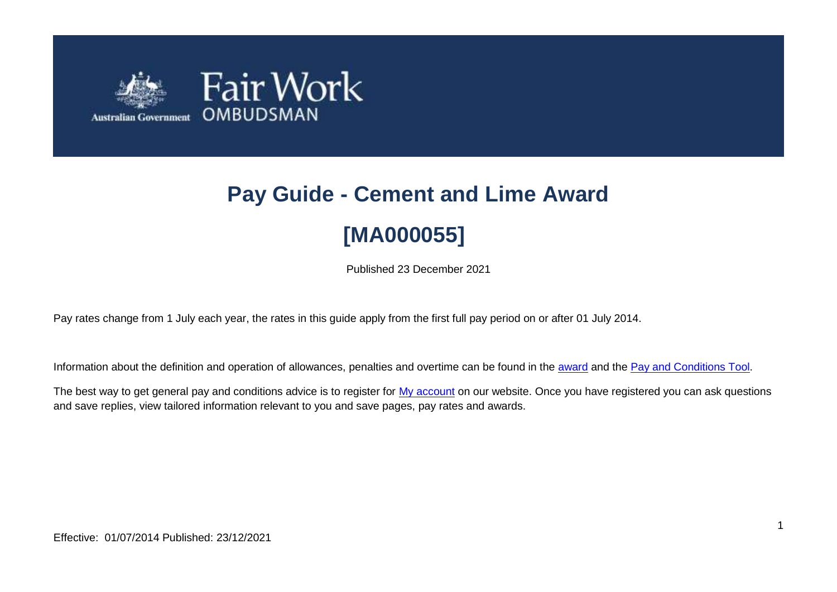

# **Pay Guide - Cement and Lime Award [MA000055]**

Published 23 December 2021

Pay rates change from 1 July each year, the rates in this guide apply from the first full pay period on or after 01 July 2014.

Information about the definition and operation of allowances, penalties and overtime can be found in the [award](https://www.fairwork.gov.au/awards-and-agreements/awards/list-of-awards) and the [Pay and Conditions Tool.](https://calculate.fairwork.gov.au/)

The best way to get general pay and conditions advice is to register for [My account](https://www.fairwork.gov.au/my-account/registerpage.aspx) on our website. Once you have registered you can ask questions and save replies, view tailored information relevant to you and save pages, pay rates and awards.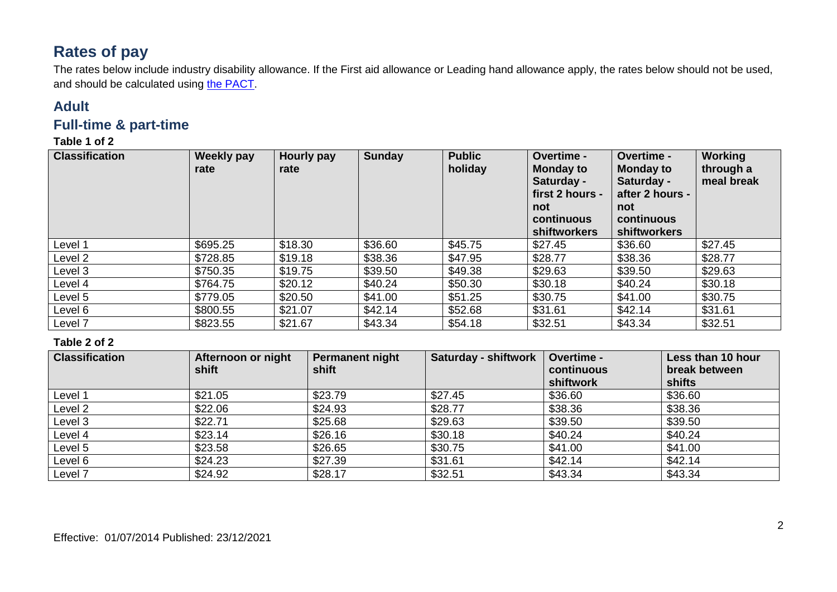# **Rates of pay**

The rates below include industry disability allowance. If the First aid allowance or Leading hand allowance apply, the rates below should not be used, and should be calculated using [the PACT.](https://calculate.fairwork.gov.au/)

## **Adult**

## **Full-time & part-time**

#### **Table 1 of 2**

| <b>Classification</b> | <b>Weekly pay</b><br>rate | <b>Hourly pay</b><br>rate | <b>Sunday</b> | <b>Public</b><br>holiday | Overtime -<br><b>Monday to</b><br>Saturday -<br>first 2 hours -<br>not<br>continuous<br>shiftworkers | Overtime -<br><b>Monday to</b><br>Saturday -<br>after 2 hours -<br>not<br>continuous<br>shiftworkers | Working<br>through a<br>meal break |
|-----------------------|---------------------------|---------------------------|---------------|--------------------------|------------------------------------------------------------------------------------------------------|------------------------------------------------------------------------------------------------------|------------------------------------|
| Level 1               | \$695.25                  | \$18.30                   | \$36.60       | \$45.75                  | \$27.45                                                                                              | \$36.60                                                                                              | \$27.45                            |
| Level 2               | \$728.85                  | \$19.18                   | \$38.36       | \$47.95                  | \$28.77                                                                                              | \$38.36                                                                                              | \$28.77                            |
| Level 3               | \$750.35                  | \$19.75                   | \$39.50       | \$49.38                  | \$29.63                                                                                              | \$39.50                                                                                              | \$29.63                            |
| Level 4               | \$764.75                  | \$20.12                   | \$40.24       | \$50.30                  | \$30.18                                                                                              | \$40.24                                                                                              | \$30.18                            |
| Level 5               | \$779.05                  | \$20.50                   | \$41.00       | \$51.25                  | \$30.75                                                                                              | \$41.00                                                                                              | \$30.75                            |
| Level 6               | \$800.55                  | \$21.07                   | \$42.14       | \$52.68                  | \$31.61                                                                                              | \$42.14                                                                                              | \$31.61                            |
| Level 7               | \$823.55                  | \$21.67                   | \$43.34       | \$54.18                  | \$32.51                                                                                              | \$43.34                                                                                              | \$32.51                            |

#### **Table 2 of 2**

| <b>Classification</b> | Afternoon or night<br>shift | <b>Permanent night</b><br>shift | <b>Saturday - shiftwork</b> | Overtime -<br>continuous<br>shiftwork | Less than 10 hour<br>break between<br>shifts |
|-----------------------|-----------------------------|---------------------------------|-----------------------------|---------------------------------------|----------------------------------------------|
| Level 1               | \$21.05                     | \$23.79                         | \$27.45                     | \$36.60                               | \$36.60                                      |
| Level 2               | \$22.06                     | \$24.93                         | \$28.77                     | \$38.36                               | \$38.36                                      |
| Level 3               | \$22.71                     | \$25.68                         | \$29.63                     | \$39.50                               | \$39.50                                      |
| Level 4               | \$23.14                     | \$26.16                         | \$30.18                     | \$40.24                               | \$40.24                                      |
| Level 5               | \$23.58                     | \$26.65                         | \$30.75                     | \$41.00                               | \$41.00                                      |
| Level 6               | \$24.23                     | \$27.39                         | \$31.61                     | \$42.14                               | \$42.14                                      |
| Level 7               | \$24.92                     | \$28.17                         | \$32.51                     | \$43.34                               | \$43.34                                      |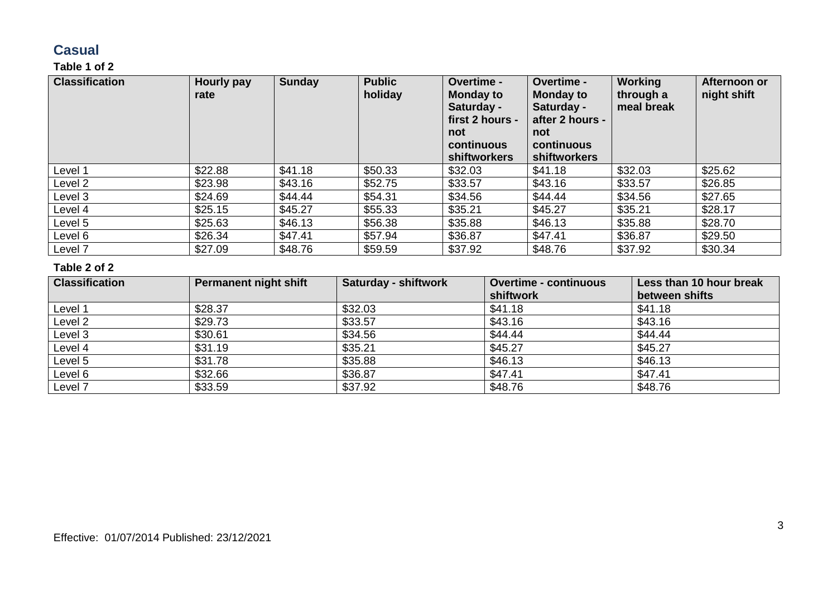## **Casual**

### **Table 1 of 2**

| <b>Classification</b> | Hourly pay<br>rate | Sunday  | <b>Public</b><br>holiday | Overtime -<br><b>Monday to</b><br>Saturday -<br>first 2 hours -<br>not<br>continuous<br><b>shiftworkers</b> | Overtime -<br><b>Monday to</b><br>Saturday -<br>after 2 hours -<br>not<br>continuous<br>shiftworkers | <b>Working</b><br>through a<br>meal break | Afternoon or<br>night shift |
|-----------------------|--------------------|---------|--------------------------|-------------------------------------------------------------------------------------------------------------|------------------------------------------------------------------------------------------------------|-------------------------------------------|-----------------------------|
| Level 1               | \$22.88            | \$41.18 | \$50.33                  | \$32.03                                                                                                     | \$41.18                                                                                              | \$32.03                                   | \$25.62                     |
| Level 2               | \$23.98            | \$43.16 | \$52.75                  | \$33.57                                                                                                     | \$43.16                                                                                              | \$33.57                                   | \$26.85                     |
| Level 3               | \$24.69            | \$44.44 | \$54.31                  | \$34.56                                                                                                     | \$44.44                                                                                              | \$34.56                                   | \$27.65                     |
| Level 4               | \$25.15            | \$45.27 | \$55.33                  | \$35.21                                                                                                     | \$45.27                                                                                              | \$35.21                                   | \$28.17                     |
| Level 5               | \$25.63            | \$46.13 | \$56.38                  | \$35.88                                                                                                     | \$46.13                                                                                              | \$35.88                                   | \$28.70                     |
| Level 6               | \$26.34            | \$47.41 | \$57.94                  | \$36.87                                                                                                     | \$47.41                                                                                              | \$36.87                                   | \$29.50                     |
| Level 7               | \$27.09            | \$48.76 | \$59.59                  | \$37.92                                                                                                     | \$48.76                                                                                              | \$37.92                                   | \$30.34                     |

#### **Table 2 of 2**

| <b>Classification</b> | Permanent night shift | <b>Saturday - shiftwork</b> | <b>Overtime - continuous</b> | Less than 10 hour break |
|-----------------------|-----------------------|-----------------------------|------------------------------|-------------------------|
|                       |                       |                             | shiftwork                    | between shifts          |
| Level 1               | \$28.37               | \$32.03                     | \$41.18                      | \$41.18                 |
| Level <sub>2</sub>    | \$29.73               | \$33.57                     | \$43.16                      | \$43.16                 |
| Level 3               | \$30.61               | \$34.56                     | \$44.44                      | \$44.44                 |
| Level 4               | \$31.19               | \$35.21                     | \$45.27                      | \$45.27                 |
| Level 5               | \$31.78               | \$35.88                     | \$46.13                      | \$46.13                 |
| Level 6               | \$32.66               | \$36.87                     | \$47.41                      | \$47.41                 |
| Level 7               | \$33.59               | \$37.92                     | \$48.76                      | \$48.76                 |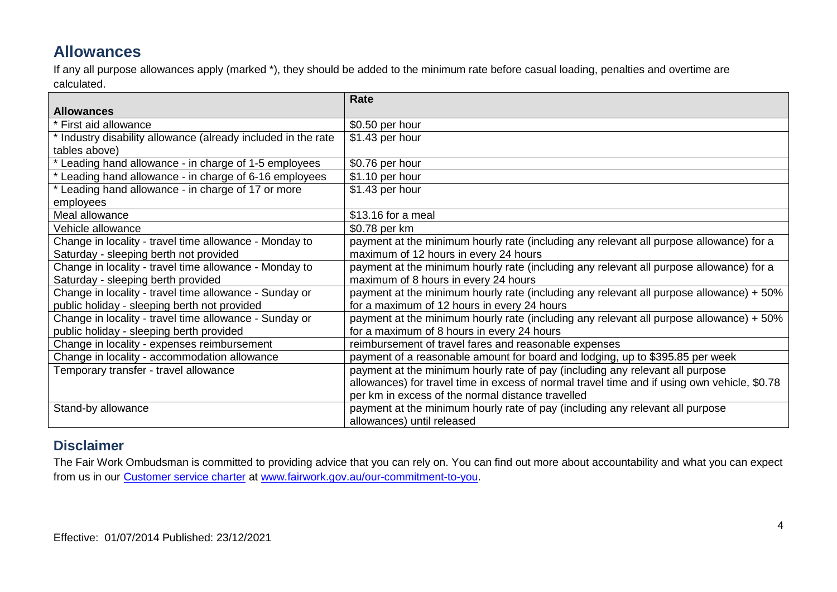# **Allowances**

If any all purpose allowances apply (marked \*), they should be added to the minimum rate before casual loading, penalties and overtime are calculated.

|                                                               | <b>Rate</b>                                                                                  |
|---------------------------------------------------------------|----------------------------------------------------------------------------------------------|
| <b>Allowances</b>                                             |                                                                                              |
| * First aid allowance                                         | \$0.50 per hour                                                                              |
| * Industry disability allowance (already included in the rate | \$1.43 per hour                                                                              |
| tables above)                                                 |                                                                                              |
| * Leading hand allowance - in charge of 1-5 employees         | \$0.76 per hour                                                                              |
| * Leading hand allowance - in charge of 6-16 employees        | \$1.10 per hour                                                                              |
| Leading hand allowance - in charge of 17 or more              | \$1.43 per hour                                                                              |
| employees                                                     |                                                                                              |
| Meal allowance                                                | \$13.16 for a meal                                                                           |
| Vehicle allowance                                             | \$0.78 per km                                                                                |
| Change in locality - travel time allowance - Monday to        | payment at the minimum hourly rate (including any relevant all purpose allowance) for a      |
| Saturday - sleeping berth not provided                        | maximum of 12 hours in every 24 hours                                                        |
| Change in locality - travel time allowance - Monday to        | payment at the minimum hourly rate (including any relevant all purpose allowance) for a      |
| Saturday - sleeping berth provided                            | maximum of 8 hours in every 24 hours                                                         |
| Change in locality - travel time allowance - Sunday or        | payment at the minimum hourly rate (including any relevant all purpose allowance) + 50%      |
| public holiday - sleeping berth not provided                  | for a maximum of 12 hours in every 24 hours                                                  |
| Change in locality - travel time allowance - Sunday or        | payment at the minimum hourly rate (including any relevant all purpose allowance) + 50%      |
| public holiday - sleeping berth provided                      | for a maximum of 8 hours in every 24 hours                                                   |
| Change in locality - expenses reimbursement                   | reimbursement of travel fares and reasonable expenses                                        |
| Change in locality - accommodation allowance                  | payment of a reasonable amount for board and lodging, up to \$395.85 per week                |
| Temporary transfer - travel allowance                         | payment at the minimum hourly rate of pay (including any relevant all purpose                |
|                                                               | allowances) for travel time in excess of normal travel time and if using own vehicle, \$0.78 |
|                                                               | per km in excess of the normal distance travelled                                            |
| Stand-by allowance                                            | payment at the minimum hourly rate of pay (including any relevant all purpose                |
|                                                               | allowances) until released                                                                   |

## **Disclaimer**

The Fair Work Ombudsman is committed to providing advice that you can rely on. You can find out more about accountability and what you can expect from us in our [Customer service charter](https://www.fairwork.gov.au/about-us/our-role-and-purpose/our-priorities/our-commitment-to-you#customer-service-charter) at [www.fairwork.gov.au/our-commitment-to-you.](http://www.fairwork.gov.au/our-commitment-to-you)